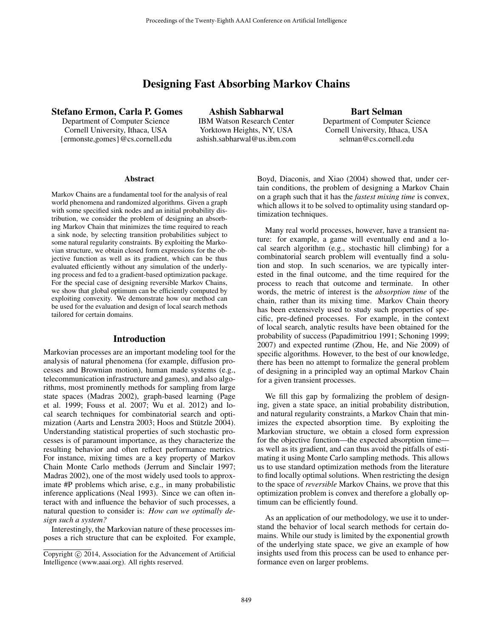# Designing Fast Absorbing Markov Chains

## Stefano Ermon, Carla P. Gomes

Department of Computer Science Cornell University, Ithaca, USA {ermonste,gomes}@cs.cornell.edu

Ashish Sabharwal IBM Watson Research Center Yorktown Heights, NY, USA ashish.sabharwal@us.ibm.com

Bart Selman Department of Computer Science Cornell University, Ithaca, USA selman@cs.cornell.edu

#### Abstract

Markov Chains are a fundamental tool for the analysis of real world phenomena and randomized algorithms. Given a graph with some specified sink nodes and an initial probability distribution, we consider the problem of designing an absorbing Markov Chain that minimizes the time required to reach a sink node, by selecting transition probabilities subject to some natural regularity constraints. By exploiting the Markovian structure, we obtain closed form expressions for the objective function as well as its gradient, which can be thus evaluated efficiently without any simulation of the underlying process and fed to a gradient-based optimization package. For the special case of designing reversible Markov Chains, we show that global optimum can be efficiently computed by exploiting convexity. We demonstrate how our method can be used for the evaluation and design of local search methods tailored for certain domains.

#### Introduction

Markovian processes are an important modeling tool for the analysis of natural phenomena (for example, diffusion processes and Brownian motion), human made systems (e.g., telecommunication infrastructure and games), and also algorithms, most prominently methods for sampling from large state spaces (Madras 2002), graph-based learning (Page et al. 1999; Fouss et al. 2007; Wu et al. 2012) and local search techniques for combinatorial search and optimization (Aarts and Lenstra 2003; Hoos and Stützle 2004). Understanding statistical properties of such stochastic processes is of paramount importance, as they characterize the resulting behavior and often reflect performance metrics. For instance, mixing times are a key property of Markov Chain Monte Carlo methods (Jerrum and Sinclair 1997; Madras 2002), one of the most widely used tools to approximate #P problems which arise, e.g., in many probabilistic inference applications (Neal 1993). Since we can often interact with and influence the behavior of such processes, a natural question to consider is: *How can we optimally design such a system?*

Interestingly, the Markovian nature of these processes imposes a rich structure that can be exploited. For example, Boyd, Diaconis, and Xiao (2004) showed that, under certain conditions, the problem of designing a Markov Chain on a graph such that it has the *fastest mixing time* is convex, which allows it to be solved to optimality using standard optimization techniques.

Many real world processes, however, have a transient nature: for example, a game will eventually end and a local search algorithm (e.g., stochastic hill climbing) for a combinatorial search problem will eventually find a solution and stop. In such scenarios, we are typically interested in the final outcome, and the time required for the process to reach that outcome and terminate. In other words, the metric of interest is the *absorption time* of the chain, rather than its mixing time. Markov Chain theory has been extensively used to study such properties of specific, pre-defined processes. For example, in the context of local search, analytic results have been obtained for the probability of success (Papadimitriou 1991; Schoning 1999; 2007) and expected runtime (Zhou, He, and Nie 2009) of specific algorithms. However, to the best of our knowledge, there has been no attempt to formalize the general problem of designing in a principled way an optimal Markov Chain for a given transient processes.

We fill this gap by formalizing the problem of designing, given a state space, an initial probability distribution, and natural regularity constraints, a Markov Chain that minimizes the expected absorption time. By exploiting the Markovian structure, we obtain a closed form expression for the objective function—the expected absorption time as well as its gradient, and can thus avoid the pitfalls of estimating it using Monte Carlo sampling methods. This allows us to use standard optimization methods from the literature to find locally optimal solutions. When restricting the design to the space of *reversible* Markov Chains, we prove that this optimization problem is convex and therefore a globally optimum can be efficiently found.

As an application of our methodology, we use it to understand the behavior of local search methods for certain domains. While our study is limited by the exponential growth of the underlying state space, we give an example of how insights used from this process can be used to enhance performance even on larger problems.

Copyright © 2014, Association for the Advancement of Artificial Intelligence (www.aaai.org). All rights reserved.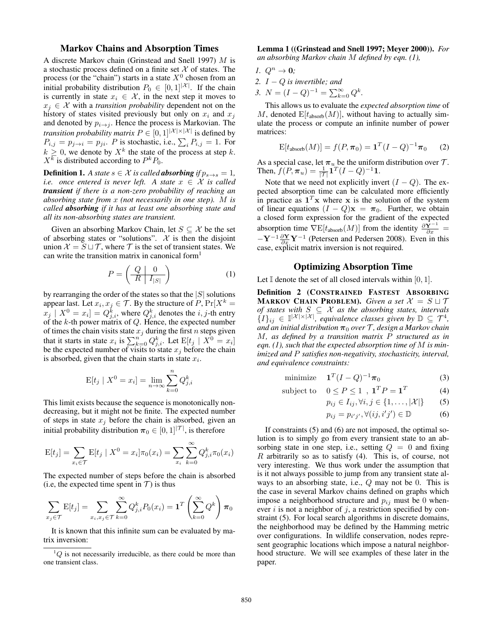## Markov Chains and Absorption Times

A discrete Markov chain (Grinstead and Snell 1997) M is a stochastic process defined on a finite set  $X$  of states. The process (or the "chain") starts in a state  $X^0$  chosen from an initial probability distribution  $P_0 \in [0,1]^{|\mathcal{X}|}$ . If the chain is currently in state  $x_i \in \mathcal{X}$ , in the next step it moves to  $x_j \in \mathcal{X}$  with a *transition probability* dependent not on the history of states visited previously but only on  $x_i$  and  $x_j$ and denoted by  $p_{i\rightarrow j}$ . Hence the process is Markovian. The *transition probability matrix*  $P \in [0, 1]^{|\mathcal{X}| \times |\mathcal{X}|}$  is defined by  $P_{i,j} = p_{j \to i} = p_{ji}$ . P is stochastic, i.e.,  $\sum_i P_{i,j} = 1$ . For  $k \geq 0$ , we denote by  $X^k$  the state of the process at step k.  $X^k$  is distributed according to  $P^k P_0$ .

**Definition 1.** *A state*  $s \in \mathcal{X}$  *is called absorbing if*  $p_{s \to s} = 1$ *, i.e.* once entered is never left. A state  $x \in \mathcal{X}$  is called *transient if there is a non-zero probability of reaching an absorbing state from* x *(not necessarily in one step).* M *is called absorbing if it has at least one absorbing state and all its non-absorbing states are transient.*

Given an absorbing Markov Chain, let  $S \subseteq \mathcal{X}$  be the set of absorbing states or "solutions".  $X$  is then the disjoint union  $\mathcal{X} = S \sqcup \mathcal{T}$ , where  $\mathcal{T}$  is the set of transient states. We can write the transition matrix in canonical form<sup>1</sup>

$$
P = \left(\begin{array}{c|c} Q & 0 \\ \hline R & I_{|S|} \end{array}\right) \tag{1}
$$

by rearranging the order of the states so that the  $|S|$  solutions appear last. Let  $x_i, x_j \in \mathcal{T}$ . By the structure of  $P$ ,  $Pr[X^k =$  $[x_j \mid X^0 = x_i] = Q^k_{j,i}$ , where  $Q^k_{j,i}$  denotes the  $i, j$ -th entry of the  $k$ -th power matrix of  $Q$ . Hence, the expected number of times the chain visits state  $x_j$  during the first n steps given that it starts in state  $x_i$  is  $\sum_{k=0}^{n} Q_{j,i}^k$ . Let  $E[t_j | X^0 = x_i]$ be the expected number of visits to state  $x_j$  before the chain is absorbed, given that the chain starts in state  $x_i$ .

$$
E[t_j \mid X^0 = x_i] = \lim_{n \to \infty} \sum_{k=0}^n Q_{j,i}^k
$$

This limit exists because the sequence is monotonically nondecreasing, but it might not be finite. The expected number of steps in state  $x_j$  before the chain is absorbed, given an initial probability distribution  $\pi_0 \in [0, 1]^{|\mathcal{T}|}$ , is therefore

$$
E[t_j] = \sum_{x_i \in \mathcal{T}} E[t_j \mid X^0 = x_i] \pi_0(x_i) = \sum_{x_i} \sum_{k=0}^{\infty} Q_{j,i}^k \pi_0(x_i)
$$

The expected number of steps before the chain is absorbed (i.e, the expected time spent in  $T$ ) is thus

$$
\sum_{x_j \in \mathcal{T}} \mathbf{E}[t_j] = \sum_{x_i, x_j \in \mathcal{T}} \sum_{k=0}^{\infty} Q_{j,i}^k P_0(x_i) = \mathbf{1}^T \left( \sum_{k=0}^{\infty} Q^k \right) \boldsymbol{\pi}_0
$$

It is known that this infinite sum can be evaluated by matrix inversion:

Lemma 1 ((Grinstead and Snell 1997; Meyer 2000)). *For an absorbing Markov chain* M *defined by eqn. (1),*

- *1.*  $Q^n \to 0$ ;
- *2.* I − Q *is invertible; and*
- *3.*  $N = (I Q)^{-1} = \sum_{k=0}^{\infty} Q^k$ .

This allows us to evaluate the *expected absorption time* of M, denoted  $E[t_{\text{absorb}}(M)]$ , without having to actually simulate the process or compute an infinite number of power matrices:

$$
E[t_{\text{absorb}}(M)] = f(P, \pi_0) = \mathbf{1}^T (I - Q)^{-1} \pi_0 \tag{2}
$$

As a special case, let  $\pi_u$  be the uniform distribution over  $\mathcal{T}$ . Then,  $f(P, \pi_u) = \frac{1}{|\mathcal{T}|} \mathbf{1}^T (I - Q)^{-1} \mathbf{1}.$ 

Note that we need not explicitly invert  $(I - Q)$ . The expected absorption time can be calculated more efficiently in practice as  $\mathbf{1}^T \mathbf{x}$  where x is the solution of the system of linear equations  $(I - Q)\mathbf{x} = \boldsymbol{\pi}_0$ . Further, we obtain a closed form expression for the gradient of the expected absorption time  $\nabla$ E[t<sub>absorb</sub>(M)] from the identity  $\frac{\partial \mathbf{Y}^{-1}}{\partial x}$  =  $-\mathbf{Y}^{-1}\frac{\partial \mathbf{Y}}{\partial x}\mathbf{Y}^{-1}$  (Petersen and Pedersen 2008). Even in this case, explicit matrix inversion is not required.

#### Optimizing Absorption Time

Let  $\mathbb I$  denote the set of all closed intervals within [0, 1].

Definition 2 (CONSTRAINED FASTEST ABSORBING **MARKOV CHAIN PROBLEM).** Given a set  $\mathcal{X} = S \sqcup \mathcal{T}$ *of states with* S ⊆ X *as the absorbing states, intervals*  $\{I\}_{ij} \in \mathbb{I}^{|\mathcal{X}| \times |\mathcal{X}|}$ , equivalence classes given by  $\mathbb{D} \subseteq \mathcal{T}^4$ , *and an initial distribution* π<sup>0</sup> *over* T *, design a Markov chain* M*, as defined by a transition matrix* P *structured as in eqn. (1), such that the expected absorption time of* M *is minimized and* P *satisfies non-negativity, stochasticity, interval, and equivalence constraints:*

$$
\text{minimize} \quad \mathbf{1}^T (I - Q)^{-1} \boldsymbol{\pi}_0 \tag{3}
$$

subject to  $0 \le P \le 1$ ,  $\mathbf{1}^T P = \mathbf{1}^T$ (4)

$$
p_{ij} \in I_{ij}, \forall i, j \in \{1, \dots, |\mathcal{X}|\} \tag{5}
$$

$$
p_{ij} = p_{i'j'}, \forall (ij, i'j') \in \mathbb{D} \tag{6}
$$

If constraints (5) and (6) are not imposed, the optimal solution is to simply go from every transient state to an absorbing state in one step, i.e., setting  $Q = 0$  and fixing R arbitrarily so as to satisfy  $(4)$ . This is, of course, not very interesting. We thus work under the assumption that is it not always possible to jump from any transient state always to an absorbing state, i.e., Q may not be 0. This is the case in several Markov chains defined on graphs which impose a neighborhood structure and  $p_{ij}$  must be 0 whenever i is not a neighbor of j, a restriction specified by constraint (5). For local search algorithms in discrete domains, the neighborhood may be defined by the Hamming metric over configurations. In wildlife conservation, nodes represent geographic locations which impose a natural neighborhood structure. We will see examples of these later in the paper.

 ${}^{1}Q$  is not necessarily irreducible, as there could be more than one transient class.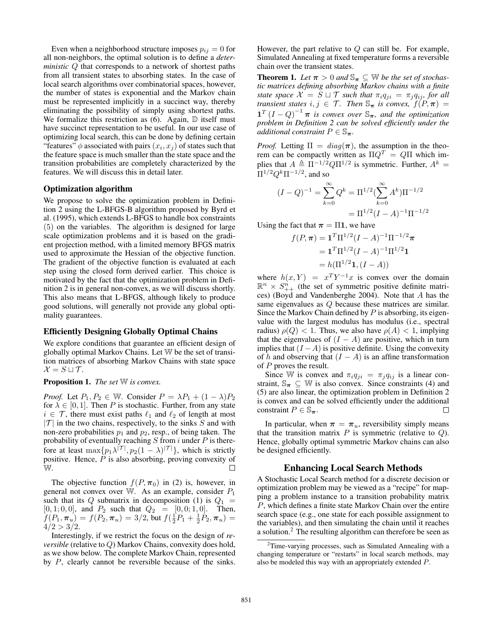Even when a neighborhood structure imposes  $p_{ij} = 0$  for all non-neighbors, the optimal solution is to define a *deterministic* Q that corresponds to a network of shortest paths from all transient states to absorbing states. In the case of local search algorithms over combinatorial spaces, however, the number of states is exponential and the Markov chain must be represented implicitly in a succinct way, thereby eliminating the possibility of simply using shortest paths. We formalize this restriction as  $(6)$ . Again,  $\mathbb D$  itself must have succinct representation to be useful. In our use case of optimizing local search, this can be done by defining certain "features"  $\phi$  associated with pairs  $(x_i, x_j)$  of states such that the feature space is much smaller than the state space and the transition probabilities are completely characterized by the features. We will discuss this in detail later.

#### Optimization algorithm

We propose to solve the optimization problem in Definition 2 using the L-BFGS-B algorithm proposed by Byrd et al. (1995), which extends L-BFGS to handle box constraints (5) on the variables. The algorithm is designed for large scale optimization problems and it is based on the gradient projection method, with a limited memory BFGS matrix used to approximate the Hessian of the objective function. The gradient of the objective function is evaluated at each step using the closed form derived earlier. This choice is motivated by the fact that the optimization problem in Definition 2 is in general non-convex, as we will discuss shortly. This also means that L-BFGS, although likely to produce good solutions, will generally not provide any global optimality guarantees.

## Efficiently Designing Globally Optimal Chains

We explore conditions that guarantee an efficient design of globally optimal Markov Chains. Let W be the set of transition matrices of absorbing Markov Chains with state space  $\mathcal{X} = S \sqcup \mathcal{T}$ .

#### Proposition 1. *The set* W *is convex.*

*Proof.* Let  $P_1, P_2 \in \mathbb{W}$ . Consider  $P = \lambda P_1 + (1 - \lambda)P_2$ for  $\lambda \in [0, 1]$ . Then P is stochastic. Further, from any state  $i \in \mathcal{T}$ , there must exist paths  $\ell_1$  and  $\ell_2$  of length at most  $|\mathcal{T}|$  in the two chains, respectively, to the sinks S and with non-zero probabilities  $p_1$  and  $p_2$ , resp., of being taken. The probability of eventually reaching  $S$  from  $i$  under  $P$  is therefore at least  $\max\{p_1\lambda^{|\mathcal{T}|}, p_2(1-\lambda)^{|\mathcal{T}|}\}$ , which is strictly positive. Hence,  $\dot{P}$  is also absorbing, proving convexity of W. П

The objective function  $f(P, \pi_0)$  in (2) is, however, in general not convex over W. As an example, consider  $P_1$ such that its Q submatrix in decomposition (1) is  $Q_1$  =  $[0, 1; 0, 0]$ , and  $P_2$  such that  $Q_2 = [0, 0; 1, 0]$ . Then,  $f(P_1, \pi_u) = f(P_2, \pi_u) = 3/2$ , but  $f(\frac{1}{2}P_1 + \frac{1}{2}P_2, \pi_u) =$  $4/2 > 3/2$ .

Interestingly, if we restrict the focus on the design of *reversible* (relative to Q) Markov Chains, convexity does hold, as we show below. The complete Markov Chain, represented by P, clearly cannot be reversible because of the sinks. However, the part relative to  $Q$  can still be. For example, Simulated Annealing at fixed temperature forms a reversible chain over the transient states.

**Theorem 1.** Let  $\pi > 0$  and  $\mathbb{S}_{\pi} \subseteq \mathbb{W}$  be the set of stochas*tic matrices defining absorbing Markov chains with a finite state space*  $X = S \sqcup T$  *such that*  $\pi_i q_{ji} = \pi_j q_{ij}$ *, for all transient states*  $i, j \in \mathcal{T}$ *. Then*  $\mathbb{S}_{\pi}$  *is convex,*  $f(P, \pi) =$  $\mathbf{1}^T (I - Q)^{-1} \boldsymbol{\pi}$  is convex over  $\mathbb{S}_{\boldsymbol{\pi}}$ , and the optimization *problem in Definition 2 can be solved efficiently under the additional constraint*  $P \in \mathbb{S}_{\pi}$ .

*Proof.* Letting  $\Pi = diag(\pi)$ , the assumption in the theorem can be compactly written as  $\Pi Q^T = Q\Pi$  which implies that  $A \triangleq \Pi^{-1/2} Q \Pi^{1/2}$  is symmetric. Further,  $A^k =$  $\Pi^{1/2}Q^k\Pi^{-1/2},$  and so

$$
(I - Q)^{-1} = \sum_{k=0}^{\infty} Q^k = \Pi^{1/2} (\sum_{k=0}^{\infty} A^k) \Pi^{-1/2}
$$

$$
= \Pi^{1/2} (I - A)^{-1} \Pi^{-1/2}
$$

Using the fact that  $\pi = \Pi 1$ , we have

$$
f(P, \pi) = \mathbf{1}^{T} \Pi^{1/2} (I - A)^{-1} \Pi^{-1/2} \pi
$$
  
=  $\mathbf{1}^{T} \Pi^{1/2} (I - A)^{-1} \Pi^{1/2} \mathbf{1}$   
=  $h(\Pi^{1/2} \mathbf{1}, (I - A))$ 

where  $h(x, Y) = x^T Y^{-1} x$  is convex over the domain  $\mathbb{R}^n \times S_{++}^n$  (the set of symmetric positive definite matrices) (Boyd and Vandenberghe 2004). Note that A has the same eigenvalues as Q because these matrices are similar. Since the Markov Chain defined by  $P$  is absorbing, its eigenvalue with the largest modulus has modulus (i.e., spectral radius)  $\rho(Q)$  < 1. Thus, we also have  $\rho(A)$  < 1, implying that the eigenvalues of  $(I - A)$  are positive, which in turn implies that  $(I - A)$  is positive definite. Using the convexity of h and observing that  $(I - A)$  is an affine transformation of  $P$  proves the result.

Since W is convex and  $\pi_i q_{ji} = \pi_j q_{ij}$  is a linear constraint,  $\mathbb{S}_{\pi} \subseteq \mathbb{W}$  is also convex. Since constraints (4) and (5) are also linear, the optimization problem in Definition 2 is convex and can be solved efficiently under the additional constraint  $P \in \mathbb{S}_{\pi}$ .  $\Box$ 

In particular, when  $\pi = \pi_u$ , reversibility simply means that the transition matrix  $P$  is symmetric (relative to  $Q$ ). Hence, globally optimal symmetric Markov chains can also be designed efficiently.

## Enhancing Local Search Methods

A Stochastic Local Search method for a discrete decision or optimization problem may be viewed as a "recipe" for mapping a problem instance to a transition probability matrix P, which defines a finite state Markov Chain over the entire search space (e.g., one state for each possible assignment to the variables), and then simulating the chain until it reaches a solution.<sup>2</sup> The resulting algorithm can therefore be seen as

<sup>&</sup>lt;sup>2</sup>Time-varying processes, such as Simulated Annealing with a changing temperature or "restarts" in local search methods, may also be modeled this way with an appropriately extended P.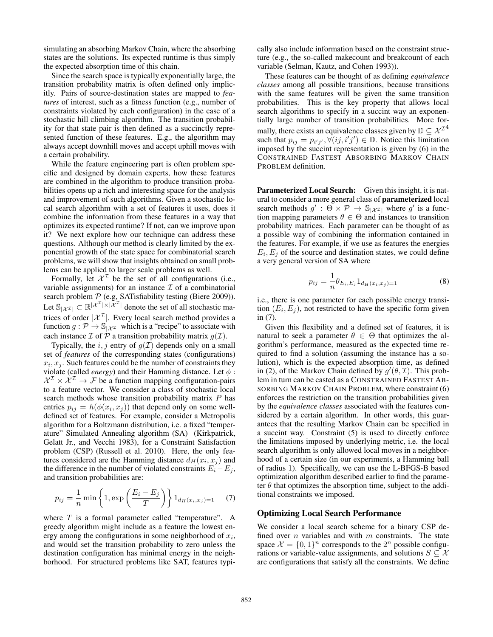simulating an absorbing Markov Chain, where the absorbing states are the solutions. Its expected runtime is thus simply the expected absorption time of this chain.

Since the search space is typically exponentially large, the transition probability matrix is often defined only implicitly. Pairs of source-destination states are mapped to *features* of interest, such as a fitness function (e.g., number of constraints violated by each configuration) in the case of a stochastic hill climbing algorithm. The transition probability for that state pair is then defined as a succinctly represented function of these features. E.g., the algorithm may always accept downhill moves and accept uphill moves with a certain probability.

While the feature engineering part is often problem specific and designed by domain experts, how these features are combined in the algorithm to produce transition probabilities opens up a rich and interesting space for the analysis and improvement of such algorithms. Given a stochastic local search algorithm with a set of features it uses, does it combine the information from these features in a way that optimizes its expected runtime? If not, can we improve upon it? We next explore how our technique can address these questions. Although our method is clearly limited by the exponential growth of the state space for combinatorial search problems, we will show that insights obtained on small problems can be applied to larger scale problems as well.

Formally, let  $\mathcal{X}^{\mathcal{I}}$  be the set of all configurations (i.e., variable assignments) for an instance  $\mathcal I$  of a combinatorial search problem  $P$  (e.g, SATisfiability testing (Biere 2009)). Let  $\mathbb{S}_{|\mathcal{X}^{\mathcal{I}}|} \subset \mathbb{R}^{|\mathcal{X}^{\mathcal{I}}| \times |\mathcal{X}^{\mathcal{I}}|}$  denote the set of all stochastic matrices of order  $|\mathcal{X}^{\mathcal{I}}|$ . Every local search method provides a function  $g: \mathcal{P} \to \mathbb{S}_{|\mathcal{X}^{\mathcal{I}}|}$  which is a "recipe" to associate with each instance  $\mathcal I$  of  $\mathcal P$  a transition probability matrix  $g(\mathcal I)$ .

Typically, the i, j entry of  $g(\mathcal{I})$  depends only on a small set of *features* of the corresponding states (configurations)  $x_i, x_j$ . Such features could be the number of constraints they violate (called *energy*) and their Hamming distance. Let  $\phi$ :  $X^{\mathcal{I}} \times X^{\mathcal{I}} \to \mathcal{F}$  be a function mapping configuration-pairs to a feature vector. We consider a class of stochastic local search methods whose transition probability matrix  $P$  has entries  $p_{ij} = h(\phi(x_i, x_j))$  that depend only on some welldefined set of features. For example, consider a Metropolis algorithm for a Boltzmann distribution, i.e. a fixed "temperature" Simulated Annealing algorithm (SA) (Kirkpatrick, Gelatt Jr., and Vecchi 1983), for a Constraint Satisfaction problem (CSP) (Russell et al. 2010). Here, the only features considered are the Hamming distance  $d_H(x_i, x_j)$  and the difference in the number of violated constraints  $E_i - E_j$ , and transition probabilities are:

$$
p_{ij} = \frac{1}{n} \min \left\{ 1, \exp\left(\frac{E_i - E_j}{T}\right) \right\} 1_{d_H(x_i, x_j) = 1} \tag{7}
$$

where  $T$  is a formal parameter called "temperature". A greedy algorithm might include as a feature the lowest energy among the configurations in some neighborhood of  $x_i$ , and would set the transition probability to zero unless the destination configuration has minimal energy in the neighborhood. For structured problems like SAT, features typically also include information based on the constraint structure (e.g., the so-called makecount and breakcount of each variable (Selman, Kautz, and Cohen 1993)).

These features can be thought of as defining *equivalence classes* among all possible transitions, because transitions with the same features will be given the same transition probabilities. This is the key property that allows local search algorithms to specify in a succint way an exponentially large number of transition probabilities. More formally, there exists an equivalence classes given by  $\mathbb{D} \subseteq \mathcal{X}^{\mathcal{I}^4}$ such that  $p_{ij} = p_{i'j'}$ ,  $\forall (ij, i'j') \in \mathbb{D}$ . Notice this limitation imposed by the succint representation is given by (6) in the CONSTRAINED FASTEST ABSORBING MARKOV CHAIN PROBLEM definition.

Parameterized Local Search: Given this insight, it is natural to consider a more general class of parameterized local search methods  $g' : \Theta \times \mathcal{P} \to \mathbb{S}_{|\mathcal{X}^{\mathcal{I}}|}$  where g' is a function mapping parameters  $\theta \in \Theta$  and instances to transition probability matrices. Each parameter can be thought of as a possible way of combining the information contained in the features. For example, if we use as features the energies  $E_i, E_j$  of the source and destination states, we could define a very general version of SA where

$$
p_{ij} = \frac{1}{n} \theta_{E_i, E_j} 1_{d_H(x_i, x_j) = 1}
$$
 (8)

i.e., there is one parameter for each possible energy transition  $(E_i, E_j)$ , not restricted to have the specific form given in (7).

Given this flexibility and a defined set of features, it is natural to seek a parameter  $\theta \in \Theta$  that optimizes the algorithm's performance, measured as the expected time required to find a solution (assuming the instance has a solution), which is the expected absorption time, as defined in (2), of the Markov Chain defined by  $g'(\theta, \mathcal{I})$ . This problem in turn can be casted as a CONSTRAINED FASTEST AB-SORBING MARKOV CHAIN PROBLEM, where constraint (6) enforces the restriction on the transition probabilities given by the *equivalence classes* associated with the features considered by a certain algorithm. In other words, this guarantees that the resulting Markov Chain can be specified in a succint way. Constraint (5) is used to directly enforce the limitations imposed by underlying metric, i.e. the local search algorithm is only allowed local moves in a neighborhood of a certain size (in our experiments, a Hamming ball of radius 1). Specifically, we can use the L-BFGS-B based optimization algorithm described earlier to find the parameter  $\theta$  that optimizes the absorption time, subject to the additional constraints we imposed.

#### Optimizing Local Search Performance

We consider a local search scheme for a binary CSP defined over  $n$  variables and with  $m$  constraints. The state space  $\mathcal{X} = \{0, 1\}^n$  corresponds to the  $2^n$  possible configurations or variable-value assignments, and solutions  $S \subseteq \mathcal{X}$ are configurations that satisfy all the constraints. We define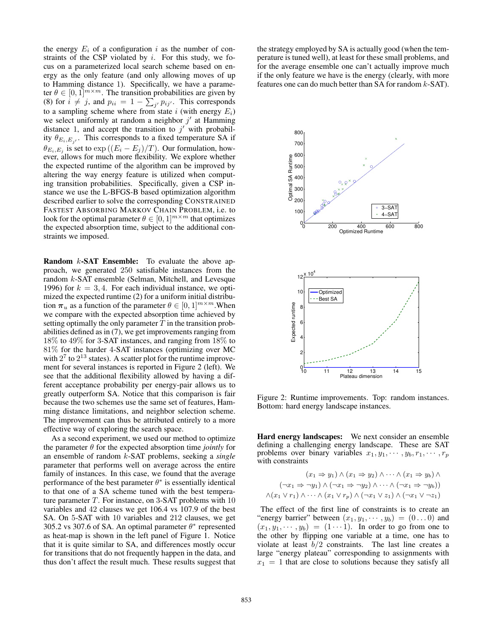the energy  $E_i$  of a configuration i as the number of constraints of the CSP violated by  $i$ . For this study, we focus on a parameterized local search scheme based on energy as the only feature (and only allowing moves of up to Hamming distance 1). Specifically, we have a parameter  $\theta \in [0, 1]^{m \times m}$ . The transition probabilities are given by (8) for  $i \neq j$ , and  $p_{ii} = 1 - \sum_{j'} p_{ij'}$ . This corresponds to a sampling scheme where from state i (with energy  $E_i$ ) we select uniformly at random a neighbor  $j'$  at Hamming distance 1, and accept the transition to  $j'$  with probability  $\theta_{E_i, E_{j'}}$ . This corresponds to a fixed temperature SA if  $\theta_{E_i, E_j}$  is set to  $\exp((E_i - E_j)/T)$ . Our formulation, however, allows for much more flexibility. We explore whether the expected runtime of the algorithm can be improved by altering the way energy feature is utilized when computing transition probabilities. Specifically, given a CSP instance we use the L-BFGS-B based optimization algorithm described earlier to solve the corresponding CONSTRAINED FASTEST ABSORBING MARKOV CHAIN PROBLEM, i.e. to look for the optimal parameter  $\theta \in [0, 1]^{m \times m}$  that optimizes the expected absorption time, subject to the additional constraints we imposed.

Random *k*-SAT Ensemble: To evaluate the above approach, we generated 250 satisfiable instances from the random k-SAT ensemble (Selman, Mitchell, and Levesque 1996) for  $k = 3, 4$ . For each individual instance, we optimized the expected runtime (2) for a uniform initial distribution  $\pi_u$  as a function of the parameter  $\theta \in [0, 1]^{m \times m}$ . When we compare with the expected absorption time achieved by setting optimally the only parameter  $T$  in the transition probabilities defined as in (7), we get improvements ranging from 18% to 49% for 3-SAT instances, and ranging from 18% to 81% for the harder 4-SAT instances (optimizing over MC with  $2^7$  to  $2^{13}$  states). A scatter plot for the runtime improvement for several instances is reported in Figure 2 (left). We see that the additional flexibility allowed by having a different acceptance probability per energy-pair allows us to greatly outperform SA. Notice that this comparison is fair because the two schemes use the same set of features, Hamming distance limitations, and neighbor selection scheme. The improvement can thus be attributed entirely to a more effective way of exploring the search space.

As a second experiment, we used our method to optimize the parameter  $\theta$  for the expected absorption time *jointly* for an ensemble of random k-SAT problems, seeking a *single* parameter that performs well on average across the entire family of instances. In this case, we found that the average performance of the best parameter  $\theta^*$  is essentially identical to that one of a SA scheme tuned with the best temperature parameter  $T$ . For instance, on 3-SAT problems with  $10$ variables and 42 clauses we get 106.4 vs 107.9 of the best SA. On 5-SAT with 10 variables and 212 clauses, we get 305.2 vs 307.6 of SA. An optimal parameter  $\theta^*$  represented as heat-map is shown in the left panel of Figure 1. Notice that it is quite similar to SA, and differences mostly occur for transitions that do not frequently happen in the data, and thus don't affect the result much. These results suggest that the strategy employed by SA is actually good (when the temperature is tuned well), at least for these small problems, and for the average ensemble one can't actually improve much if the only feature we have is the energy (clearly, with more features one can do much better than SA for random  $k$ -SAT).



Figure 2: Runtime improvements. Top: random instances. Bottom: hard energy landscape instances.

Hard energy landscapes: We next consider an ensemble defining a challenging energy landscape. These are SAT problems over binary variables  $x_1, y_1, \dots, y_b, r_1, \dots, r_p$ with constraints

$$
(x_1 \Rightarrow y_1) \land (x_1 \Rightarrow y_2) \land \cdots \land (x_1 \Rightarrow y_b) \land
$$

$$
(\neg x_1 \Rightarrow \neg y_1) \land (\neg x_1 \Rightarrow \neg y_2) \land \cdots \land (\neg x_1 \Rightarrow \neg y_b))
$$

$$
\land (x_1 \lor r_1) \land \cdots \land (x_1 \lor r_p) \land (\neg x_1 \lor z_1) \land (\neg x_1 \lor \neg z_1)
$$

The effect of the first line of constraints is to create an "energy barrier" between  $(x_1, y_1, \dots, y_b) = (0 \dots 0)$  and  $(x_1, y_1, \dots, y_b) = (1 \cdots 1)$ . In order to go from one to the other by flipping one variable at a time, one has to violate at least  $b/2$  constraints. The last line creates a large "energy plateau" corresponding to assignments with  $x_1 = 1$  that are close to solutions because they satisfy all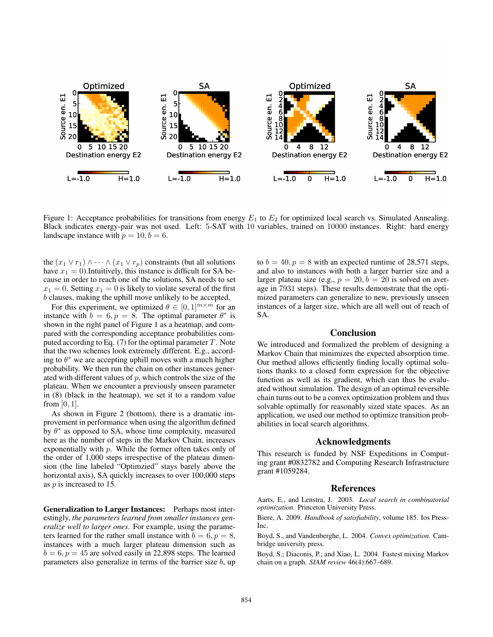

Figure 1: Acceptance probabilities for transitions from energy  $E_1$  to  $E_2$  for optimized local search vs. Simulated Annealing. Black indicates energy-pair was not used. Left: 5-SAT with 10 variables, trained on 10000 instances. Right: hard energy landscape instance with  $p = 10, b = 6$ .

the  $(x_1 \vee r_1) \wedge \cdots \wedge (x_1 \vee r_p)$  constraints (but all solutions have  $x_1 = 0$ ). Intuitively, this instance is difficult for SA because in order to reach one of the solutions, SA needs to set  $x_1 = 0$ . Setting  $x_1 = 0$  is likely to violate several of the first b clauses, making the uphill move unlikely to be accepted.

For this experiment, we optimized  $\theta \in [0, 1]^{m \times m}$  for an instance with  $b = 6, p = 8$ . The optimal parameter  $\theta^*$  is shown in the right panel of Figure 1 as a heatmap, and compared with the corresponding acceptance probabilities computed according to Eq.  $(7)$  for the optimal parameter T. Note that the two schemes look extremely different. E.g., according to  $\theta^*$  we are accepting uphill moves with a much higher probability. We then run the chain on other instances generated with different values of  $p$ , which controls the size of the plateau. When we encounter a previously unseen parameter in (8) (black in the heatmap), we set it to a random value from [0, 1].

As shown in Figure 2 (bottom), there is a dramatic improvement in performance when using the algorithm defined by  $\theta^*$  as opposed to SA, whose time complexity, measured here as the number of steps in the Markov Chain, increases exponentially with  $p$ . While the former often takes only of the order of 1,000 steps irrespective of the plateau dimension (the line labeled "Optimzied" stays barely above the horizontal axis), SA quickly increases to over  $100,000$  steps as p is increased to 15.

Generalization to Larger Instances: Perhaps most interestingly, *the parameters learned from smaller instances generalize well to larger ones*. For example, using the parameters learned for the rather small instance with  $b = 6, p = 8$ , instances with a much larger plateau dimension such as  $b = 6, p = 45$  are solved easily in 22,898 steps. The learned parameters also generalize in terms of the barrier size  $b$ , up

to  $b = 40$ ,  $p = 8$  with an expected runtime of 28,571 steps, and also to instances with both a larger barrier size and a larger plateau size (e.g.,  $p = 20, b = 20$  is solved on average in 7931 steps). These results demonstrate that the optimized parameters can generalize to new, previously unseen instances of a larger size, which are all well out of reach of SA.

#### Conclusion

We introduced and formalized the problem of designing a Markov Chain that minimizes the expected absorption time. Our method allows efficiently finding locally optimal solutions thanks to a closed form expression for the objective function as well as its gradient, which can thus be evaluated without simulation. The design of an optimal reversible chain turns out to be a convex optimization problem and thus solvable optimally for reasonably sized state spaces. As an application, we used our method to optimize transition probabilities in local search algorithms.

#### Acknowledgments

This research is funded by NSF Expeditions in Computing grant #0832782 and Computing Research Infrastructure grant #1059284.

## **References**

Aarts, E., and Lenstra, J. 2003. *Local search in combinatorial optimization*. Princeton University Press.

Biere, A. 2009. *Handbook of satisfiability*, volume 185. Ios Press-Inc.

Boyd, S., and Vandenberghe, L. 2004. *Convex optimization*. Cambridge university press.

Boyd, S.; Diaconis, P.; and Xiao, L. 2004. Fastest mixing Markov chain on a graph. *SIAM review* 46(4):667–689.